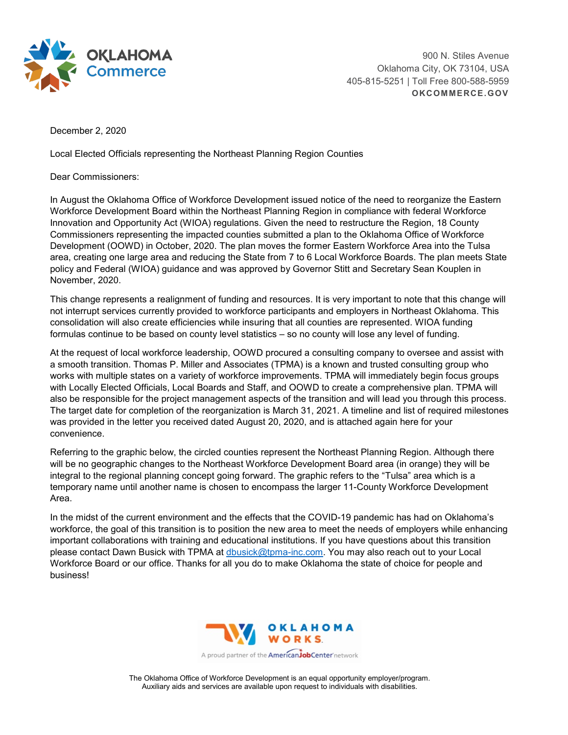

900 N. Stiles Avenue Oklahoma City, OK 73104, USA 405-815-5251 | Toll Free 800-588-5959 **OKCOMMERCE.GOV**

December 2, 2020

Local Elected Officials representing the Northeast Planning Region Counties

Dear Commissioners:

In August the Oklahoma Office of Workforce Development issued notice of the need to reorganize the Eastern Workforce Development Board within the Northeast Planning Region in compliance with federal Workforce Innovation and Opportunity Act (WIOA) regulations. Given the need to restructure the Region, 18 County Commissioners representing the impacted counties submitted a plan to the Oklahoma Office of Workforce Development (OOWD) in October, 2020. The plan moves the former Eastern Workforce Area into the Tulsa area, creating one large area and reducing the State from 7 to 6 Local Workforce Boards. The plan meets State policy and Federal (WIOA) guidance and was approved by Governor Stitt and Secretary Sean Kouplen in November, 2020.

This change represents a realignment of funding and resources. It is very important to note that this change will not interrupt services currently provided to workforce participants and employers in Northeast Oklahoma. This consolidation will also create efficiencies while insuring that all counties are represented. WIOA funding formulas continue to be based on county level statistics – so no county will lose any level of funding.

At the request of local workforce leadership, OOWD procured a consulting company to oversee and assist with a smooth transition. Thomas P. Miller and Associates (TPMA) is a known and trusted consulting group who works with multiple states on a variety of workforce improvements. TPMA will immediately begin focus groups with Locally Elected Officials, Local Boards and Staff, and OOWD to create a comprehensive plan. TPMA will also be responsible for the project management aspects of the transition and will lead you through this process. The target date for completion of the reorganization is March 31, 2021. A timeline and list of required milestones was provided in the letter you received dated August 20, 2020, and is attached again here for your convenience.

Referring to the graphic below, the circled counties represent the Northeast Planning Region. Although there will be no geographic changes to the Northeast Workforce Development Board area (in orange) they will be integral to the regional planning concept going forward. The graphic refers to the "Tulsa" area which is a temporary name until another name is chosen to encompass the larger 11-County Workforce Development Area.

In the midst of the current environment and the effects that the COVID-19 pandemic has had on Oklahoma's workforce, the goal of this transition is to position the new area to meet the needs of employers while enhancing important collaborations with training and educational institutions. If you have questions about this transition please contact Dawn Busick with TPMA at [dbusick@tpma-inc.com.](mailto:dbusick@tpma-inc.com) You may also reach out to your Local Workforce Board or our office. Thanks for all you do to make Oklahoma the state of choice for people and business!



The Oklahoma Office of Workforce Development is an equal opportunity employer/program. Auxiliary aids and services are available upon request to individuals with disabilities.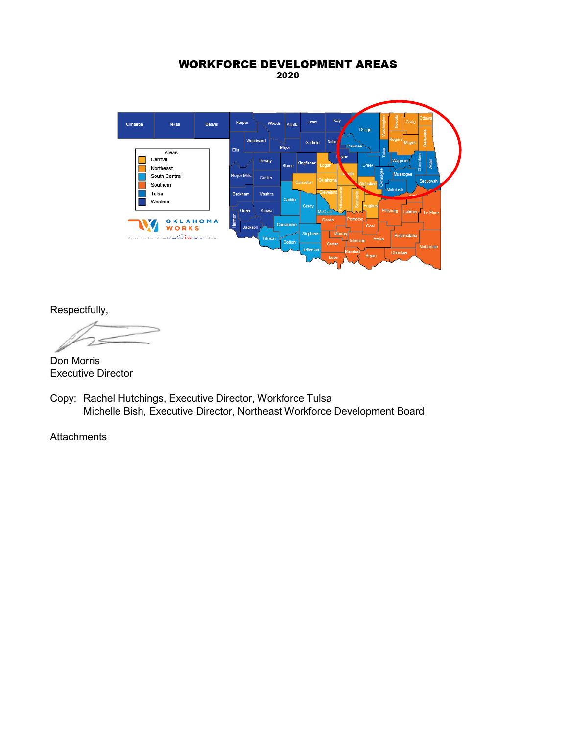## **WORKFORCE DEVELOPMENT AREAS** 2020



Respectfully,

Don Morris Executive Director

Copy: Rachel Hutchings, Executive Director, Workforce Tulsa Michelle Bish, Executive Director, Northeast Workforce Development Board

**Attachments**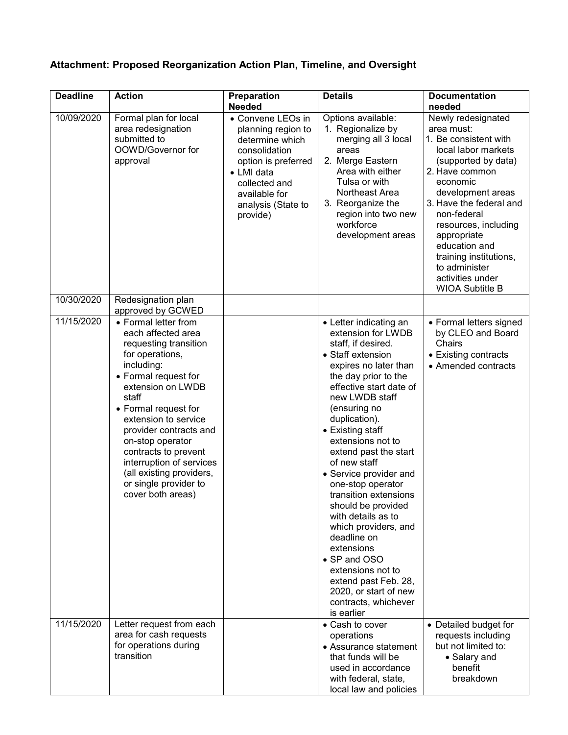## **Attachment: Proposed Reorganization Action Plan, Timeline, and Oversight**

| <b>Deadline</b> | <b>Action</b>                                                                                                                                                                                                                                                                                                                                                                          | Preparation                                                                                                                                                                          | <b>Details</b>                                                                                                                                                                                                                                                                                                                                                                                                                                                                                                                                                                                                | <b>Documentation</b>                                                                                                                                                                                                                                                                                                                                  |
|-----------------|----------------------------------------------------------------------------------------------------------------------------------------------------------------------------------------------------------------------------------------------------------------------------------------------------------------------------------------------------------------------------------------|--------------------------------------------------------------------------------------------------------------------------------------------------------------------------------------|---------------------------------------------------------------------------------------------------------------------------------------------------------------------------------------------------------------------------------------------------------------------------------------------------------------------------------------------------------------------------------------------------------------------------------------------------------------------------------------------------------------------------------------------------------------------------------------------------------------|-------------------------------------------------------------------------------------------------------------------------------------------------------------------------------------------------------------------------------------------------------------------------------------------------------------------------------------------------------|
|                 |                                                                                                                                                                                                                                                                                                                                                                                        | <b>Needed</b>                                                                                                                                                                        |                                                                                                                                                                                                                                                                                                                                                                                                                                                                                                                                                                                                               | needed                                                                                                                                                                                                                                                                                                                                                |
| 10/09/2020      | Formal plan for local<br>area redesignation<br>submitted to<br>OOWD/Governor for<br>approval                                                                                                                                                                                                                                                                                           | • Convene LEOs in<br>planning region to<br>determine which<br>consolidation<br>option is preferred<br>• LMI data<br>collected and<br>available for<br>analysis (State to<br>provide) | Options available:<br>1. Regionalize by<br>merging all 3 local<br>areas<br>2. Merge Eastern<br>Area with either<br>Tulsa or with<br>Northeast Area<br>3. Reorganize the<br>region into two new<br>workforce<br>development areas                                                                                                                                                                                                                                                                                                                                                                              | Newly redesignated<br>area must:<br>1. Be consistent with<br>local labor markets<br>(supported by data)<br>2. Have common<br>economic<br>development areas<br>3. Have the federal and<br>non-federal<br>resources, including<br>appropriate<br>education and<br>training institutions,<br>to administer<br>activities under<br><b>WIOA Subtitle B</b> |
| 10/30/2020      | Redesignation plan<br>approved by GCWED                                                                                                                                                                                                                                                                                                                                                |                                                                                                                                                                                      |                                                                                                                                                                                                                                                                                                                                                                                                                                                                                                                                                                                                               |                                                                                                                                                                                                                                                                                                                                                       |
| 11/15/2020      | • Formal letter from<br>each affected area<br>requesting transition<br>for operations,<br>including:<br>• Formal request for<br>extension on LWDB<br>staff<br>• Formal request for<br>extension to service<br>provider contracts and<br>on-stop operator<br>contracts to prevent<br>interruption of services<br>(all existing providers,<br>or single provider to<br>cover both areas) |                                                                                                                                                                                      | • Letter indicating an<br>extension for LWDB<br>staff, if desired.<br>• Staff extension<br>expires no later than<br>the day prior to the<br>effective start date of<br>new LWDB staff<br>(ensuring no<br>duplication).<br>• Existing staff<br>extensions not to<br>extend past the start<br>of new staff<br>• Service provider and<br>one-stop operator<br>transition extensions<br>should be provided<br>with details as to<br>which providers, and<br>deadline on<br>extensions<br>• SP and OSO<br>extensions not to<br>extend past Feb. 28,<br>2020, or start of new<br>contracts, whichever<br>is earlier | • Formal letters signed<br>by CLEO and Board<br>Chairs<br>• Existing contracts<br>• Amended contracts                                                                                                                                                                                                                                                 |
| 11/15/2020      | Letter request from each<br>area for cash requests<br>for operations during<br>transition                                                                                                                                                                                                                                                                                              |                                                                                                                                                                                      | • Cash to cover<br>operations<br>• Assurance statement<br>that funds will be<br>used in accordance<br>with federal, state,<br>local law and policies                                                                                                                                                                                                                                                                                                                                                                                                                                                          | • Detailed budget for<br>requests including<br>but not limited to:<br>• Salary and<br>benefit<br>breakdown                                                                                                                                                                                                                                            |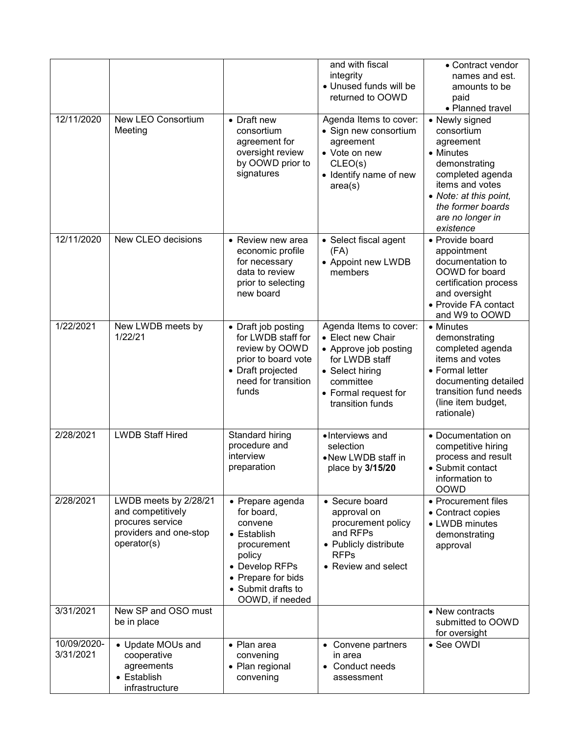|                          |                                                                                                         |                                                                                                                                                                    | and with fiscal<br>integrity<br>• Unused funds will be<br>returned to OOWD                                                                                         | • Contract vendor<br>names and est.<br>amounts to be<br>paid<br>• Planned travel                                                                                                               |
|--------------------------|---------------------------------------------------------------------------------------------------------|--------------------------------------------------------------------------------------------------------------------------------------------------------------------|--------------------------------------------------------------------------------------------------------------------------------------------------------------------|------------------------------------------------------------------------------------------------------------------------------------------------------------------------------------------------|
| 12/11/2020               | New LEO Consortium<br>Meeting                                                                           | • Draft new<br>consortium<br>agreement for<br>oversight review<br>by OOWD prior to<br>signatures                                                                   | Agenda Items to cover:<br>• Sign new consortium<br>agreement<br>• Vote on new<br>CLEO(s)<br>• Identify name of new<br>area(s)                                      | • Newly signed<br>consortium<br>agreement<br>• Minutes<br>demonstrating<br>completed agenda<br>items and votes<br>• Note: at this point,<br>the former boards<br>are no longer in<br>existence |
| 12/11/2020               | New CLEO decisions                                                                                      | • Review new area<br>economic profile<br>for necessary<br>data to review<br>prior to selecting<br>new board                                                        | • Select fiscal agent<br>(FA)<br>• Appoint new LWDB<br>members                                                                                                     | • Provide board<br>appointment<br>documentation to<br>OOWD for board<br>certification process<br>and oversight<br>• Provide FA contact<br>and W9 to OOWD                                       |
| 1/22/2021                | New LWDB meets by<br>1/22/21                                                                            | • Draft job posting<br>for LWDB staff for<br>review by OOWD<br>prior to board vote<br>• Draft projected<br>need for transition<br>funds                            | Agenda Items to cover:<br>• Elect new Chair<br>• Approve job posting<br>for LWDB staff<br>• Select hiring<br>committee<br>• Formal request for<br>transition funds | • Minutes<br>demonstrating<br>completed agenda<br>items and votes<br>• Formal letter<br>documenting detailed<br>transition fund needs<br>(line item budget,<br>rationale)                      |
| 2/28/2021                | <b>LWDB Staff Hired</b>                                                                                 | Standard hiring<br>procedure and<br>interview<br>preparation                                                                                                       | •Interviews and<br>selection<br>• New LWDB staff in<br>place by 3/15/20                                                                                            | • Documentation on<br>competitive hiring<br>process and result<br>• Submit contact<br>information to<br><b>OOWD</b>                                                                            |
| 2/28/2021                | LWDB meets by 2/28/21<br>and competitively<br>procures service<br>providers and one-stop<br>operator(s) | • Prepare agenda<br>for board,<br>convene<br>• Establish<br>procurement<br>policy<br>• Develop RFPs<br>• Prepare for bids<br>• Submit drafts to<br>OOWD, if needed | • Secure board<br>approval on<br>procurement policy<br>and RFPs<br>• Publicly distribute<br><b>RFPs</b><br>• Review and select                                     | • Procurement files<br>• Contract copies<br>• LWDB minutes<br>demonstrating<br>approval                                                                                                        |
| 3/31/2021                | New SP and OSO must<br>be in place                                                                      |                                                                                                                                                                    |                                                                                                                                                                    | • New contracts<br>submitted to OOWD<br>for oversight                                                                                                                                          |
| 10/09/2020-<br>3/31/2021 | • Update MOUs and<br>cooperative<br>agreements<br>• Establish<br>infrastructure                         | • Plan area<br>convening<br>• Plan regional<br>convening                                                                                                           | • Convene partners<br>in area<br>• Conduct needs<br>assessment                                                                                                     | • See OWDI                                                                                                                                                                                     |